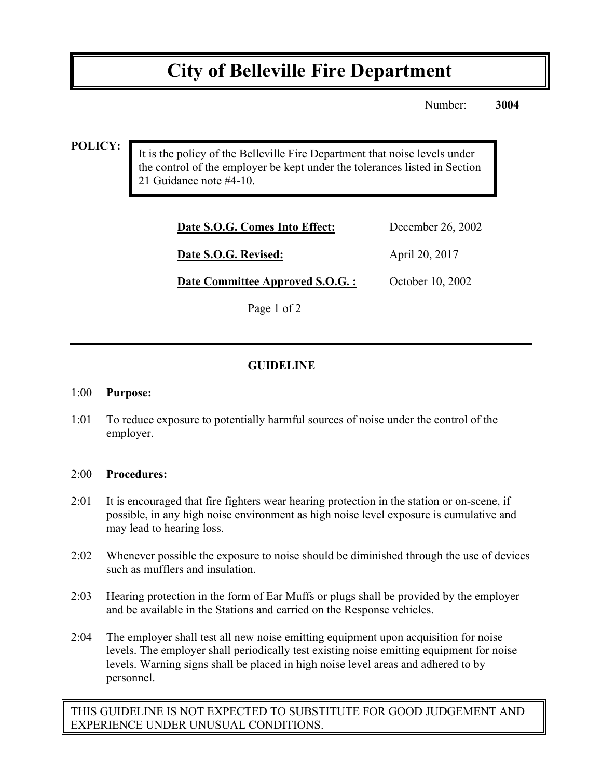# **City of Belleville Fire Department**

Number: **3004**

### **POLICY:**

It is the policy of the Belleville Fire Department that noise levels under the control of the employer be kept under the tolerances listed in Section 21 Guidance note #4-10.

| Date S.O.G. Comes Into Effect:   | December 26, 2002 |
|----------------------------------|-------------------|
| Date S.O.G. Revised:             | April 20, 2017    |
| Date Committee Approved S.O.G. : | October 10, 2002  |

Page 1 of 2

# **GUIDELINE**

#### 1:00 **Purpose:**

1:01 To reduce exposure to potentially harmful sources of noise under the control of the employer.

#### 2:00 **Procedures:**

- 2:01 It is encouraged that fire fighters wear hearing protection in the station or on-scene, if possible, in any high noise environment as high noise level exposure is cumulative and may lead to hearing loss.
- 2:02 Whenever possible the exposure to noise should be diminished through the use of devices such as mufflers and insulation.
- 2:03 Hearing protection in the form of Ear Muffs or plugs shall be provided by the employer and be available in the Stations and carried on the Response vehicles.
- 2:04 The employer shall test all new noise emitting equipment upon acquisition for noise levels. The employer shall periodically test existing noise emitting equipment for noise levels. Warning signs shall be placed in high noise level areas and adhered to by personnel.

THIS GUIDELINE IS NOT EXPECTED TO SUBSTITUTE FOR GOOD JUDGEMENT AND EXPERIENCE UNDER UNUSUAL CONDITIONS.